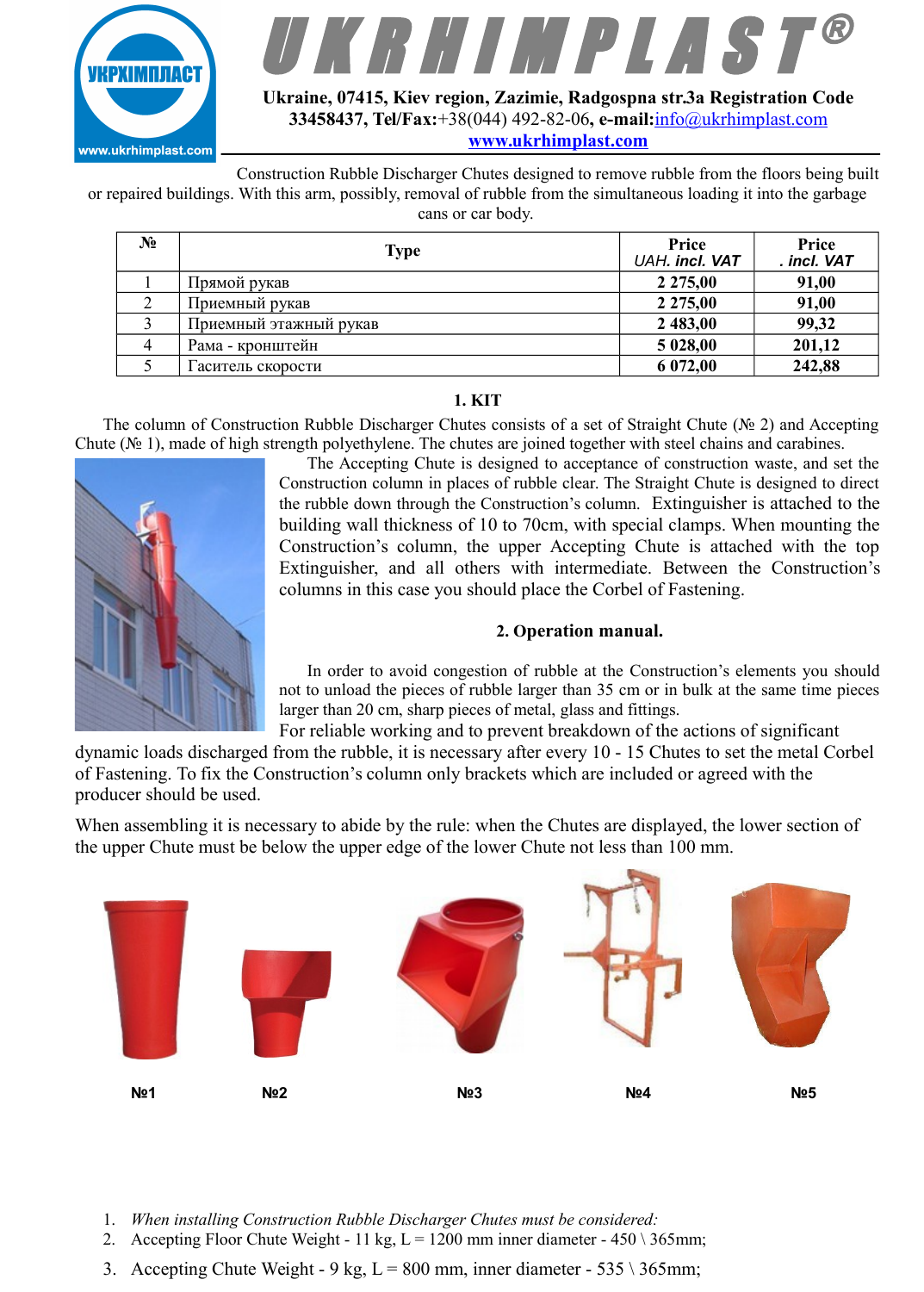



**Ukraine, 07415, Kiev region, Zazimie, Radgospna str.3а Registration Code 33458437, Tel/Fax:**+38(044) 492-82-06**, e-mail:**[info@ukrhimplast.com](mailto:info@ukrhimplast.com) **[www.ukrhimplast.com](http://www.ukrhimplast.com/)**

Construction Rubble Discharger Chutes designed to remove rubble from the floors being built or repaired buildings. With this arm, possibly, removal of rubble from the simultaneous loading it into the garbage cans or car body.

| No | Type                   | Price<br>UAH. incl. VAT | Price<br>. incl. VAT |
|----|------------------------|-------------------------|----------------------|
|    | Прямой рукав           | 2 2 7 5 , 0 0           | 91,00                |
|    | Приемный рукав         | 2 2 7 5 , 0 0           | 91,00                |
|    | Приемный этажный рукав | 2 483,00                | 99,32                |
|    | Рама - кронштейн       | 5 028,00                | 201,12               |
|    | Гаситель скорости      | 6 072,00                | 242,88               |

## **1. KIT**

The column of Construction Rubble Discharger Chutes consists of a set of Straight Chute (№ 2) and Accepting Chute ( $\mathcal{N}$  1), made of high strength polyethylene. The chutes are joined together with steel chains and carabines.



The Accepting Chute is designed to acceptance of construction waste, and set the Construction column in places of rubble clear. The Straight Chute is designed to direct the rubble down through the Construction's column. Extinguisher is attached to the building wall thickness of 10 to 70cm, with special clamps. When mounting the Construction's column, the upper Accepting Chute is attached with the top Extinguisher, and all others with intermediate. Between the Construction's columns in this case you should place the Corbel of Fastening.

## **2. Operation manual.**

In order to avoid congestion of rubble at the Construction's elements you should not to unload the pieces of rubble larger than 35 cm or in bulk at the same time pieces larger than 20 cm, sharp pieces of metal, glass and fittings.

For reliable working and to prevent breakdown of the actions of significant dynamic loads discharged from the rubble, it is necessary after every 10 - 15 Chutes to set the metal Corbel of Fastening. To fix the Construction's column only brackets which are included or agreed with the producer should be used.

When assembling it is necessary to abide by the rule: when the Chutes are displayed, the lower section of the upper Chute must be below the upper edge of the lower Chute not less than 100 mm.



- 1. *When installing Construction Rubble Discharger Chutes must be considered:*
- 2. Accepting Floor Chute Weight 11 kg,  $L = 1200$  mm inner diameter 450 \ 365mm;
- 3. Accepting Chute Weight 9 kg,  $L = 800$  mm, inner diameter 535 \ 365mm;